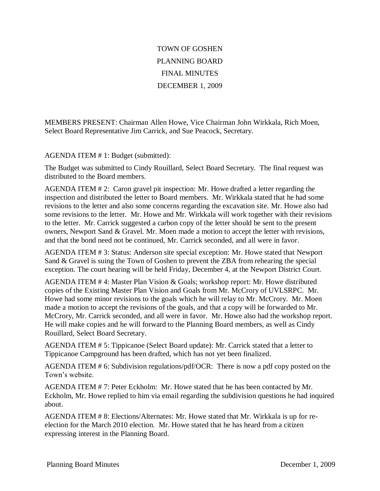## TOWN OF GOSHEN PLANNING BOARD FINAL MINUTES DECEMBER 1, 2009

MEMBERS PRESENT: Chairman Allen Howe, Vice Chairman John Wirkkala, Rich Moen, Select Board Representative Jim Carrick, and Sue Peacock, Secretary.

AGENDA ITEM # 1: Budget (submitted):

The Budget was submitted to Cindy Rouillard, Select Board Secretary. The final request was distributed to the Board members.

AGENDA ITEM # 2: Caron gravel pit inspection: Mr. Howe drafted a letter regarding the inspection and distributed the letter to Board members. Mr. Wirkkala stated that he had some revisions to the letter and also some concerns regarding the excavation site. Mr. Howe also had some revisions to the letter. Mr. Howe and Mr. Wirkkala will work together with their revisions to the letter. Mr. Carrick suggested a carbon copy of the letter should be sent to the present owners, Newport Sand & Gravel. Mr. Moen made a motion to accept the letter with revisions, and that the bond need not be continued, Mr. Carrick seconded, and all were in favor.

AGENDA ITEM # 3: Status: Anderson site special exception: Mr. Howe stated that Newport Sand & Gravel is suing the Town of Goshen to prevent the ZBA from rehearing the special exception. The court hearing will be held Friday, December 4, at the Newport District Court.

AGENDA ITEM # 4: Master Plan Vision & Goals; workshop report: Mr. Howe distributed copies of the Existing Master Plan Vision and Goals from Mr. McCrory of UVLSRPC. Mr. Howe had some minor revisions to the goals which he will relay to Mr. McCrory. Mr. Moen made a motion to accept the revisions of the goals, and that a copy will be forwarded to Mr. McCrory, Mr. Carrick seconded, and all were in favor. Mr. Howe also had the workshop report. He will make copies and he will forward to the Planning Board members, as well as Cindy Rouillard, Select Board Secretary.

AGENDA ITEM # 5: Tippicanoe (Select Board update): Mr. Carrick stated that a letter to Tippicanoe Campground has been drafted, which has not yet been finalized.

AGENDA ITEM # 6: Subdivision regulations/pdf/OCR: There is now a pdf copy posted on the Town's website.

AGENDA ITEM # 7: Peter Eckholm: Mr. Howe stated that he has been contacted by Mr. Eckholm, Mr. Howe replied to him via email regarding the subdivision questions he had inquired about.

AGENDA ITEM # 8: Elections/Alternates: Mr. Howe stated that Mr. Wirkkala is up for reelection for the March 2010 election. Mr. Howe stated that he has heard from a citizen expressing interest in the Planning Board.